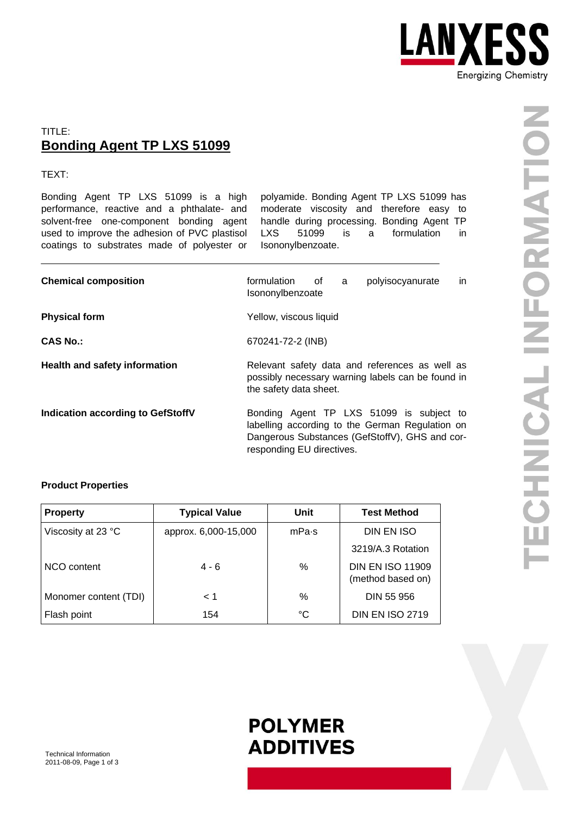

### TITLE: **Bonding Agent TP LXS 51099**

TEXT:

Bonding Agent TP LXS 51099 is a high performance, reactive and a phthalate- and solvent-free one-component bonding agent used to improve the adhesion of PVC plastisol coatings to substrates made of polyester or

polyamide. Bonding Agent TP LXS 51099 has moderate viscosity and therefore easy to handle during processing. Bonding Agent TP LXS 51099 is a formulation in Isononylbenzoate.

| <b>Chemical composition</b>              | polyisocyanurate<br>formulation<br>of<br>in.<br>a<br>Isononylbenzoate                                                                                                      |  |  |
|------------------------------------------|----------------------------------------------------------------------------------------------------------------------------------------------------------------------------|--|--|
| <b>Physical form</b>                     | Yellow, viscous liquid                                                                                                                                                     |  |  |
| <b>CAS No.:</b>                          | 670241-72-2 (INB)                                                                                                                                                          |  |  |
| Health and safety information            | Relevant safety data and references as well as<br>possibly necessary warning labels can be found in<br>the safety data sheet.                                              |  |  |
| <b>Indication according to GefStoffV</b> | Bonding Agent TP LXS 51099 is subject to<br>labelling according to the German Regulation on<br>Dangerous Substances (GefStoffV), GHS and cor-<br>responding EU directives. |  |  |

### **Product Properties**

| <b>Property</b>       | <b>Typical Value</b> | Unit             | <b>Test Method</b>                           |
|-----------------------|----------------------|------------------|----------------------------------------------|
| Viscosity at 23 °C    | approx. 6,000-15,000 | mPa <sub>s</sub> | DIN EN ISO                                   |
|                       |                      |                  | 3219/A.3 Rotation                            |
| NCO content           | $4 - 6$              | $\%$             | <b>DIN EN ISO 11909</b><br>(method based on) |
| Monomer content (TDI) | < 1                  | $\%$             | DIN 55 956                                   |
| Flash point           | 154                  | °C               | <b>DIN EN ISO 2719</b>                       |

## **POLYMER ADDITIVES**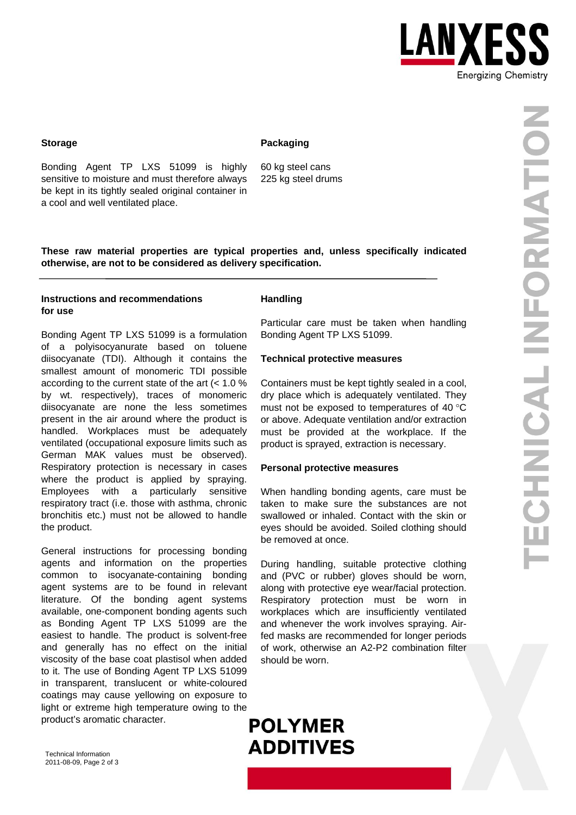

#### **Packaging**

Bonding Agent TP LXS 51099 is highly sensitive to moisture and must therefore always be kept in its tightly sealed original container in a cool and well ventilated place.

60 kg steel cans 225 kg steel drums

**These raw material properties are typical properties and, unless specifically indicated otherwise, are not to be considered as delivery specification.** 

#### **Instructions and recommendations for use**

Bonding Agent TP LXS 51099 is a formulation of a polyisocyanurate based on toluene diisocyanate (TDI). Although it contains the smallest amount of monomeric TDI possible according to the current state of the art (< 1.0 % by wt. respectively), traces of monomeric diisocyanate are none the less sometimes present in the air around where the product is handled. Workplaces must be adequately ventilated (occupational exposure limits such as German MAK values must be observed). Respiratory protection is necessary in cases where the product is applied by spraying. Employees with a particularly sensitive respiratory tract (i.e. those with asthma, chronic bronchitis etc.) must not be allowed to handle the product.

General instructions for processing bonding agents and information on the properties common to isocyanate-containing bonding agent systems are to be found in relevant literature. Of the bonding agent systems available, one-component bonding agents such as Bonding Agent TP LXS 51099 are the easiest to handle. The product is solvent-free and generally has no effect on the initial viscosity of the base coat plastisol when added to it. The use of Bonding Agent TP LXS 51099 in transparent, translucent or white-coloured coatings may cause yellowing on exposure to light or extreme high temperature owing to the product's aromatic character.

#### **Handling**

Particular care must be taken when handling Bonding Agent TP LXS 51099.

#### **Technical protective measures**

Containers must be kept tightly sealed in a cool, dry place which is adequately ventilated. They must not be exposed to temperatures of 40 °C or above. Adequate ventilation and/or extraction must be provided at the workplace. If the product is sprayed, extraction is necessary.

#### **Personal protective measures**

When handling bonding agents, care must be taken to make sure the substances are not swallowed or inhaled. Contact with the skin or eyes should be avoided. Soiled clothing should be removed at once.

During handling, suitable protective clothing and (PVC or rubber) gloves should be worn, along with protective eye wear/facial protection. Respiratory protection must be worn in workplaces which are insufficiently ventilated and whenever the work involves spraying. Airfed masks are recommended for longer periods of work, otherwise an A2-P2 combination filter should be worn.

# **POLYMER ADDITIVES**